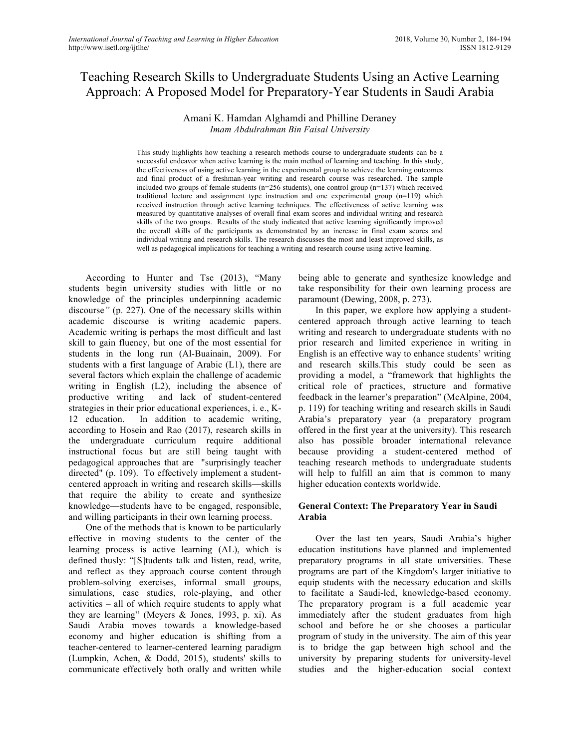# Teaching Research Skills to Undergraduate Students Using an Active Learning Approach: A Proposed Model for Preparatory-Year Students in Saudi Arabia

# Amani K. Hamdan Alghamdi and Philline Deraney *Imam Abdulrahman Bin Faisal University*

This study highlights how teaching a research methods course to undergraduate students can be a successful endeavor when active learning is the main method of learning and teaching. In this study, the effectiveness of using active learning in the experimental group to achieve the learning outcomes and final product of a freshman-year writing and research course was researched. The sample included two groups of female students ( $n=256$  students), one control group ( $n=137$ ) which received traditional lecture and assignment type instruction and one experimental group (n=119) which received instruction through active learning techniques. The effectiveness of active learning was measured by quantitative analyses of overall final exam scores and individual writing and research skills of the two groups. Results of the study indicated that active learning significantly improved the overall skills of the participants as demonstrated by an increase in final exam scores and individual writing and research skills. The research discusses the most and least improved skills, as well as pedagogical implications for teaching a writing and research course using active learning.

According to Hunter and Tse (2013), "Many students begin university studies with little or no knowledge of the principles underpinning academic discourse*"* (p. 227). One of the necessary skills within academic discourse is writing academic papers. Academic writing is perhaps the most difficult and last skill to gain fluency, but one of the most essential for students in the long run (Al-Buainain, 2009). For students with a first language of Arabic (L1), there are several factors which explain the challenge of academic writing in English (L2), including the absence of productive writing and lack of student-centered strategies in their prior educational experiences, i. e., K-12 education. In addition to academic writing, according to Hosein and Rao (2017), research skills in the undergraduate curriculum require additional instructional focus but are still being taught with pedagogical approaches that are "surprisingly teacher directed" (p. 109). To effectively implement a studentcentered approach in writing and research skills—skills that require the ability to create and synthesize knowledge—students have to be engaged, responsible, and willing participants in their own learning process.

One of the methods that is known to be particularly effective in moving students to the center of the learning process is active learning (AL), which is defined thusly: "[S]tudents talk and listen, read, write, and reflect as they approach course content through problem-solving exercises, informal small groups, simulations, case studies, role-playing, and other activities – all of which require students to apply what they are learning" (Meyers & Jones, 1993, p. xi). As Saudi Arabia moves towards a knowledge-based economy and higher education is shifting from a teacher-centered to learner-centered learning paradigm (Lumpkin, Achen, & Dodd, 2015), students' skills to communicate effectively both orally and written while

being able to generate and synthesize knowledge and take responsibility for their own learning process are paramount (Dewing, 2008, p. 273).

In this paper, we explore how applying a studentcentered approach through active learning to teach writing and research to undergraduate students with no prior research and limited experience in writing in English is an effective way to enhance students' writing and research skills.This study could be seen as providing a model, a "framework that highlights the critical role of practices, structure and formative feedback in the learner's preparation" (McAlpine, 2004, p. 119) for teaching writing and research skills in Saudi Arabia's preparatory year (a preparatory program offered in the first year at the university). This research also has possible broader international relevance because providing a student-centered method of teaching research methods to undergraduate students will help to fulfill an aim that is common to many higher education contexts worldwide.

### **General Context: The Preparatory Year in Saudi Arabia**

Over the last ten years, Saudi Arabia's higher education institutions have planned and implemented preparatory programs in all state universities. These programs are part of the Kingdom's larger initiative to equip students with the necessary education and skills to facilitate a Saudi-led, knowledge-based economy. The preparatory program is a full academic year immediately after the student graduates from high school and before he or she chooses a particular program of study in the university. The aim of this year is to bridge the gap between high school and the university by preparing students for university-level studies and the higher-education social context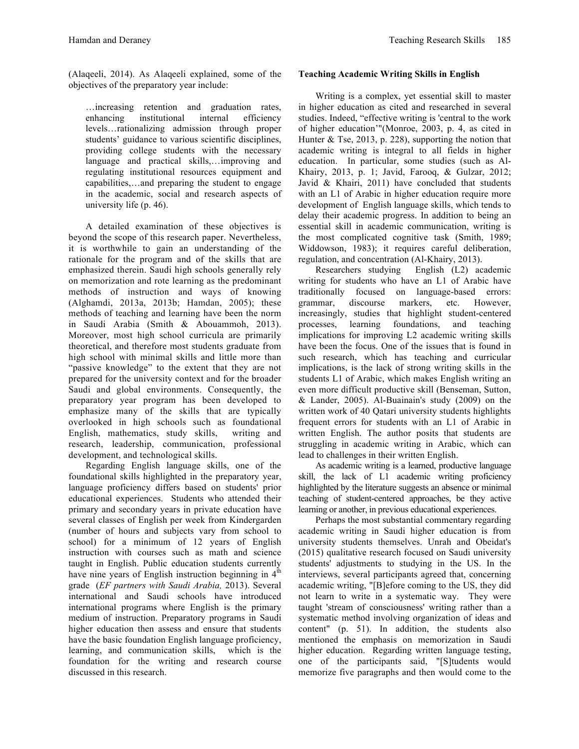(Alaqeeli, 2014). As Alaqeeli explained, some of the objectives of the preparatory year include:

…increasing retention and graduation rates, enhancing institutional internal efficiency levels…rationalizing admission through proper students' guidance to various scientific disciplines, providing college students with the necessary language and practical skills,…improving and regulating institutional resources equipment and capabilities,…and preparing the student to engage in the academic, social and research aspects of university life (p. 46).

A detailed examination of these objectives is beyond the scope of this research paper. Nevertheless, it is worthwhile to gain an understanding of the rationale for the program and of the skills that are emphasized therein. Saudi high schools generally rely on memorization and rote learning as the predominant methods of instruction and ways of knowing (Alghamdi, 2013a, 2013b; Hamdan, 2005); these methods of teaching and learning have been the norm in Saudi Arabia (Smith & Abouammoh, 2013). Moreover, most high school curricula are primarily theoretical, and therefore most students graduate from high school with minimal skills and little more than "passive knowledge" to the extent that they are not prepared for the university context and for the broader Saudi and global environments. Consequently, the preparatory year program has been developed to emphasize many of the skills that are typically overlooked in high schools such as foundational English, mathematics, study skills, writing and research, leadership, communication, professional development, and technological skills.

Regarding English language skills, one of the foundational skills highlighted in the preparatory year, language proficiency differs based on students' prior educational experiences. Students who attended their primary and secondary years in private education have several classes of English per week from Kindergarden (number of hours and subjects vary from school to school) for a minimum of 12 years of English instruction with courses such as math and science taught in English. Public education students currently have nine years of English instruction beginning in  $4<sup>th</sup>$ grade (*EF partners with Saudi Arabia,* 2013). Several international and Saudi schools have introduced international programs where English is the primary medium of instruction. Preparatory programs in Saudi higher education then assess and ensure that students have the basic foundation English language proficiency, learning, and communication skills, which is the foundation for the writing and research course discussed in this research.

### **Teaching Academic Writing Skills in English**

Writing is a complex, yet essential skill to master in higher education as cited and researched in several studies. Indeed, "effective writing is 'central to the work of higher education'"(Monroe, 2003, p. 4, as cited in Hunter  $\&$  Tse, 2013, p. 228), supporting the notion that academic writing is integral to all fields in higher education. In particular, some studies (such as Al-Khairy, 2013, p. 1; Javid, Farooq, & Gulzar, 2012; Javid & Khairi, 2011) have concluded that students with an L1 of Arabic in higher education require more development of English language skills, which tends to delay their academic progress. In addition to being an essential skill in academic communication, writing is the most complicated cognitive task (Smith, 1989; Widdowson, 1983); it requires careful deliberation, regulation, and concentration (Al-Khairy, 2013).

Researchers studying English (L2) academic writing for students who have an L1 of Arabic have traditionally focused on language-based errors: grammar, discourse markers, etc. However, increasingly, studies that highlight student-centered processes, learning foundations, and teaching implications for improving L2 academic writing skills have been the focus. One of the issues that is found in such research, which has teaching and curricular implications, is the lack of strong writing skills in the students L1 of Arabic, which makes English writing an even more difficult productive skill (Benseman, Sutton, & Lander, 2005). Al-Buainain's study (2009) on the written work of 40 Qatari university students highlights frequent errors for students with an L1 of Arabic in written English. The author posits that students are struggling in academic writing in Arabic, which can lead to challenges in their written English.

As academic writing is a learned, productive language skill, the lack of L1 academic writing proficiency highlighted by the literature suggests an absence or minimal teaching of student-centered approaches, be they active learning or another, in previous educational experiences.

Perhaps the most substantial commentary regarding academic writing in Saudi higher education is from university students themselves. Unrah and Obeidat's (2015) qualitative research focused on Saudi university students' adjustments to studying in the US. In the interviews, several participants agreed that, concerning academic writing, "[B]efore coming to the US, they did not learn to write in a systematic way. They were taught 'stream of consciousness' writing rather than a systematic method involving organization of ideas and content" (p. 51). In addition, the students also mentioned the emphasis on memorization in Saudi higher education. Regarding written language testing, one of the participants said, "[S]tudents would memorize five paragraphs and then would come to the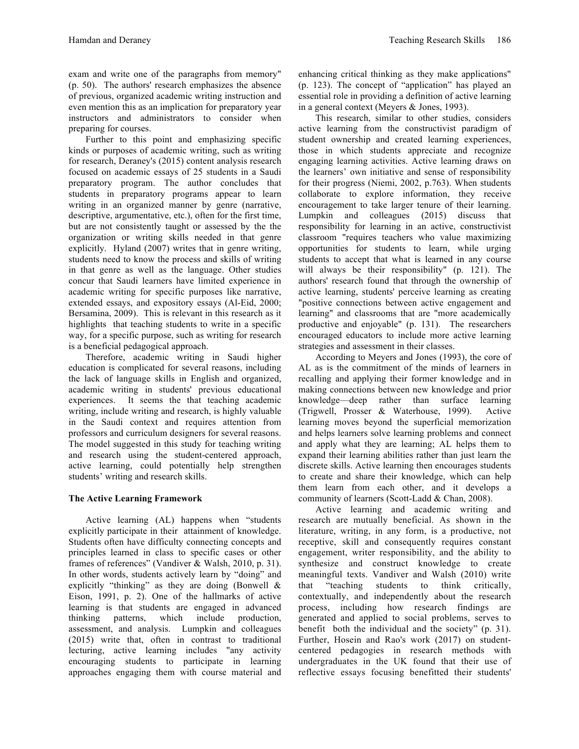exam and write one of the paragraphs from memory" (p. 50). The authors' research emphasizes the absence of previous, organized academic writing instruction and even mention this as an implication for preparatory year instructors and administrators to consider when preparing for courses.

Further to this point and emphasizing specific kinds or purposes of academic writing, such as writing for research, Deraney's (2015) content analysis research focused on academic essays of 25 students in a Saudi preparatory program. The author concludes that students in preparatory programs appear to learn writing in an organized manner by genre (narrative, descriptive, argumentative, etc.), often for the first time, but are not consistently taught or assessed by the the organization or writing skills needed in that genre explicitly. Hyland (2007) writes that in genre writing, students need to know the process and skills of writing in that genre as well as the language. Other studies concur that Saudi learners have limited experience in academic writing for specific purposes like narrative, extended essays, and expository essays (Al-Eid, 2000; Bersamina, 2009). This is relevant in this research as it highlights that teaching students to write in a specific way, for a specific purpose, such as writing for research is a beneficial pedagogical approach.

Therefore, academic writing in Saudi higher education is complicated for several reasons, including the lack of language skills in English and organized, academic writing in students' previous educational experiences. It seems the that teaching academic writing, include writing and research, is highly valuable in the Saudi context and requires attention from professors and curriculum designers for several reasons. The model suggested in this study for teaching writing and research using the student-centered approach, active learning, could potentially help strengthen students' writing and research skills.

# **The Active Learning Framework**

Active learning (AL) happens when "students explicitly participate in their attainment of knowledge. Students often have difficulty connecting concepts and principles learned in class to specific cases or other frames of references" (Vandiver & Walsh, 2010, p. 31). In other words, students actively learn by "doing" and explicitly "thinking" as they are doing (Bonwell & Eison, 1991, p. 2). One of the hallmarks of active learning is that students are engaged in advanced thinking patterns, which include production, assessment, and analysis. Lumpkin and colleagues (2015) write that, often in contrast to traditional lecturing, active learning includes "any activity encouraging students to participate in learning approaches engaging them with course material and

enhancing critical thinking as they make applications" (p. 123). The concept of "application" has played an essential role in providing a definition of active learning in a general context (Meyers & Jones, 1993).

This research, similar to other studies, considers active learning from the constructivist paradigm of student ownership and created learning experiences, those in which students appreciate and recognize engaging learning activities. Active learning draws on the learners' own initiative and sense of responsibility for their progress (Niemi, 2002, p.763). When students collaborate to explore information, they receive encouragement to take larger tenure of their learning. Lumpkin and colleagues (2015) discuss that responsibility for learning in an active, constructivist classroom "requires teachers who value maximizing opportunities for students to learn, while urging students to accept that what is learned in any course will always be their responsibility" (p. 121). The authors' research found that through the ownership of active learning, students' perceive learning as creating "positive connections between active engagement and learning" and classrooms that are "more academically productive and enjoyable" (p. 131). The researchers encouraged educators to include more active learning strategies and assessment in their classes.

According to Meyers and Jones (1993), the core of AL as is the commitment of the minds of learners in recalling and applying their former knowledge and in making connections between new knowledge and prior knowledge—deep rather than surface learning (Trigwell, Prosser & Waterhouse, 1999). Active learning moves beyond the superficial memorization and helps learners solve learning problems and connect and apply what they are learning; AL helps them to expand their learning abilities rather than just learn the discrete skills. Active learning then encourages students to create and share their knowledge, which can help them learn from each other, and it develops a community of learners (Scott-Ladd & Chan, 2008).

Active learning and academic writing and research are mutually beneficial. As shown in the literature, writing, in any form, is a productive, not receptive, skill and consequently requires constant engagement, writer responsibility, and the ability to synthesize and construct knowledge to create meaningful texts. Vandiver and Walsh (2010) write that "teaching students to think critically, contextually, and independently about the research process, including how research findings are generated and applied to social problems, serves to benefit both the individual and the society" (p. 31). Further, Hosein and Rao's work (2017) on studentcentered pedagogies in research methods with undergraduates in the UK found that their use of reflective essays focusing benefitted their students'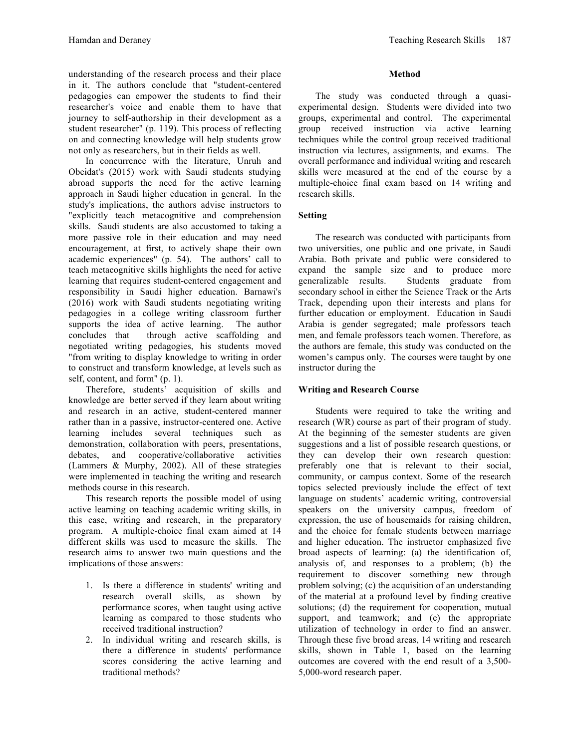understanding of the research process and their place in it. The authors conclude that "student-centered pedagogies can empower the students to find their researcher's voice and enable them to have that journey to self-authorship in their development as a student researcher" (p. 119). This process of reflecting on and connecting knowledge will help students grow not only as researchers, but in their fields as well.

In concurrence with the literature, Unruh and Obeidat's (2015) work with Saudi students studying abroad supports the need for the active learning approach in Saudi higher education in general. In the study's implications, the authors advise instructors to "explicitly teach metacognitive and comprehension skills. Saudi students are also accustomed to taking a more passive role in their education and may need encouragement, at first, to actively shape their own academic experiences" (p. 54). The authors' call to teach metacognitive skills highlights the need for active learning that requires student-centered engagement and responsibility in Saudi higher education. Barnawi's (2016) work with Saudi students negotiating writing pedagogies in a college writing classroom further supports the idea of active learning. The author concludes that through active scaffolding and negotiated writing pedagogies, his students moved "from writing to display knowledge to writing in order to construct and transform knowledge, at levels such as self, content, and form" (p. 1).

Therefore, students' acquisition of skills and knowledge are better served if they learn about writing and research in an active, student-centered manner rather than in a passive, instructor-centered one. Active learning includes several techniques such as demonstration, collaboration with peers, presentations, debates, and cooperative/collaborative activities (Lammers & Murphy, 2002). All of these strategies were implemented in teaching the writing and research methods course in this research.

This research reports the possible model of using active learning on teaching academic writing skills, in this case, writing and research, in the preparatory program. A multiple-choice final exam aimed at 14 different skills was used to measure the skills. The research aims to answer two main questions and the implications of those answers:

- 1. Is there a difference in students' writing and research overall skills, as shown by performance scores, when taught using active learning as compared to those students who received traditional instruction?
- 2. In individual writing and research skills, is there a difference in students' performance scores considering the active learning and traditional methods?

# **Method**

The study was conducted through a quasiexperimental design. Students were divided into two groups, experimental and control. The experimental group received instruction via active learning techniques while the control group received traditional instruction via lectures, assignments, and exams. The overall performance and individual writing and research skills were measured at the end of the course by a multiple-choice final exam based on 14 writing and research skills.

# **Setting**

The research was conducted with participants from two universities, one public and one private, in Saudi Arabia. Both private and public were considered to expand the sample size and to produce more generalizable results. Students graduate from secondary school in either the Science Track or the Arts Track, depending upon their interests and plans for further education or employment. Education in Saudi Arabia is gender segregated; male professors teach men, and female professors teach women. Therefore, as the authors are female, this study was conducted on the women's campus only. The courses were taught by one instructor during the

# **Writing and Research Course**

Students were required to take the writing and research (WR) course as part of their program of study. At the beginning of the semester students are given suggestions and a list of possible research questions, or they can develop their own research question: preferably one that is relevant to their social, community, or campus context. Some of the research topics selected previously include the effect of text language on students' academic writing, controversial speakers on the university campus, freedom of expression, the use of housemaids for raising children, and the choice for female students between marriage and higher education. The instructor emphasized five broad aspects of learning: (a) the identification of, analysis of, and responses to a problem; (b) the requirement to discover something new through problem solving; (c) the acquisition of an understanding of the material at a profound level by finding creative solutions; (d) the requirement for cooperation, mutual support, and teamwork; and (e) the appropriate utilization of technology in order to find an answer. Through these five broad areas, 14 writing and research skills, shown in Table 1, based on the learning outcomes are covered with the end result of a 3,500- 5,000-word research paper.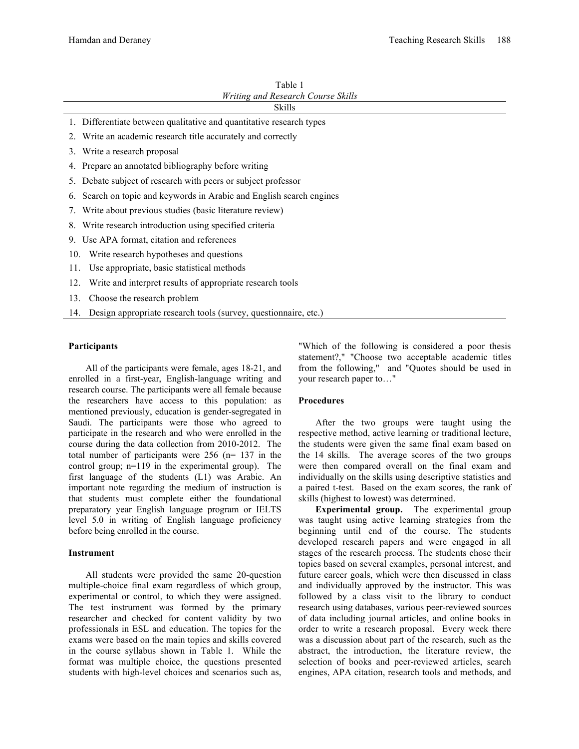| Table 1                            |
|------------------------------------|
| Writing and Research Course Skills |
|                                    |

#### Skills

- 1. Differentiate between qualitative and quantitative research types
- 2. Write an academic research title accurately and correctly
- 3. Write a research proposal
- 4. Prepare an annotated bibliography before writing
- 5. Debate subject of research with peers or subject professor
- 6. Search on topic and keywords in Arabic and English search engines
- 7. Write about previous studies (basic literature review)
- 8. Write research introduction using specified criteria
- 9. Use APA format, citation and references
- 10. Write research hypotheses and questions
- 11. Use appropriate, basic statistical methods
- 12. Write and interpret results of appropriate research tools
- 13. Choose the research problem
- 14. Design appropriate research tools (survey, questionnaire, etc.)

#### **Participants**

All of the participants were female, ages 18-21, and enrolled in a first-year, English-language writing and research course. The participants were all female because the researchers have access to this population: as mentioned previously, education is gender-segregated in Saudi. The participants were those who agreed to participate in the research and who were enrolled in the course during the data collection from 2010-2012. The total number of participants were 256 (n= 137 in the control group; n=119 in the experimental group). The first language of the students (L1) was Arabic. An important note regarding the medium of instruction is that students must complete either the foundational preparatory year English language program or IELTS level 5.0 in writing of English language proficiency before being enrolled in the course.

#### **Instrument**

All students were provided the same 20-question multiple-choice final exam regardless of which group, experimental or control, to which they were assigned. The test instrument was formed by the primary researcher and checked for content validity by two professionals in ESL and education. The topics for the exams were based on the main topics and skills covered in the course syllabus shown in Table 1. While the format was multiple choice, the questions presented students with high-level choices and scenarios such as, "Which of the following is considered a poor thesis statement?," "Choose two acceptable academic titles from the following," and "Quotes should be used in your research paper to…"

### **Procedures**

After the two groups were taught using the respective method, active learning or traditional lecture, the students were given the same final exam based on the 14 skills. The average scores of the two groups were then compared overall on the final exam and individually on the skills using descriptive statistics and a paired t-test. Based on the exam scores, the rank of skills (highest to lowest) was determined.

**Experimental group.** The experimental group was taught using active learning strategies from the beginning until end of the course. The students developed research papers and were engaged in all stages of the research process. The students chose their topics based on several examples, personal interest, and future career goals, which were then discussed in class and individually approved by the instructor. This was followed by a class visit to the library to conduct research using databases, various peer-reviewed sources of data including journal articles, and online books in order to write a research proposal. Every week there was a discussion about part of the research, such as the abstract, the introduction, the literature review, the selection of books and peer-reviewed articles, search engines, APA citation, research tools and methods, and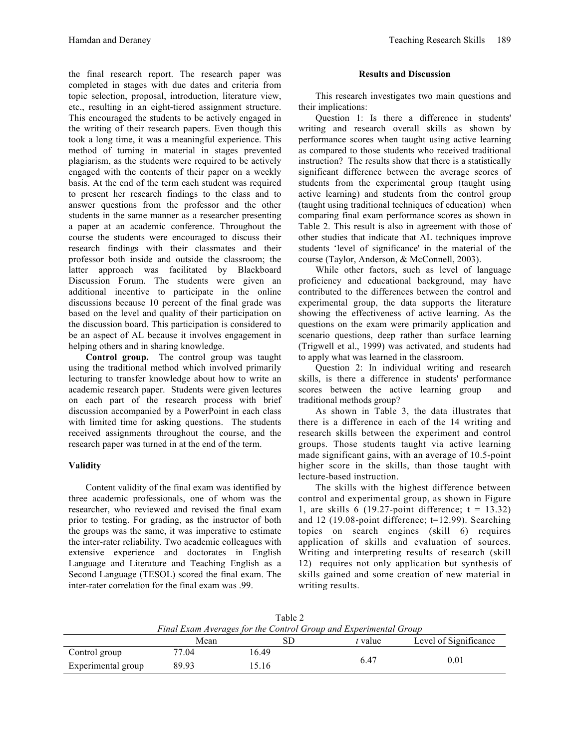the final research report. The research paper was completed in stages with due dates and criteria from topic selection, proposal, introduction, literature view, etc., resulting in an eight-tiered assignment structure. This encouraged the students to be actively engaged in the writing of their research papers. Even though this took a long time, it was a meaningful experience. This method of turning in material in stages prevented plagiarism, as the students were required to be actively engaged with the contents of their paper on a weekly basis. At the end of the term each student was required to present her research findings to the class and to answer questions from the professor and the other students in the same manner as a researcher presenting a paper at an academic conference. Throughout the course the students were encouraged to discuss their research findings with their classmates and their professor both inside and outside the classroom; the latter approach was facilitated by Blackboard Discussion Forum. The students were given an additional incentive to participate in the online discussions because 10 percent of the final grade was based on the level and quality of their participation on the discussion board. This participation is considered to be an aspect of AL because it involves engagement in helping others and in sharing knowledge.

**Control group.** The control group was taught using the traditional method which involved primarily lecturing to transfer knowledge about how to write an academic research paper. Students were given lectures on each part of the research process with brief discussion accompanied by a PowerPoint in each class with limited time for asking questions. The students received assignments throughout the course, and the research paper was turned in at the end of the term.

# **Validity**

Content validity of the final exam was identified by three academic professionals, one of whom was the researcher, who reviewed and revised the final exam prior to testing. For grading, as the instructor of both the groups was the same, it was imperative to estimate the inter-rater reliability. Two academic colleagues with extensive experience and doctorates in English Language and Literature and Teaching English as a Second Language (TESOL) scored the final exam. The inter-rater correlation for the final exam was .99.

#### **Results and Discussion**

This research investigates two main questions and their implications:

Question 1: Is there a difference in students' writing and research overall skills as shown by performance scores when taught using active learning as compared to those students who received traditional instruction? The results show that there is a statistically significant difference between the average scores of students from the experimental group (taught using active learning) and students from the control group (taught using traditional techniques of education) when comparing final exam performance scores as shown in Table 2. This result is also in agreement with those of other studies that indicate that AL techniques improve students 'level of significance' in the material of the course (Taylor, Anderson, & McConnell, 2003).

While other factors, such as level of language proficiency and educational background, may have contributed to the differences between the control and experimental group, the data supports the literature showing the effectiveness of active learning. As the questions on the exam were primarily application and scenario questions, deep rather than surface learning (Trigwell et al., 1999) was activated, and students had to apply what was learned in the classroom.

Question 2: In individual writing and research skills, is there a difference in students' performance scores between the active learning group and traditional methods group?

As shown in Table 3, the data illustrates that there is a difference in each of the 14 writing and research skills between the experiment and control groups. Those students taught via active learning made significant gains, with an average of 10.5-point higher score in the skills, than those taught with lecture-based instruction.

The skills with the highest difference between control and experimental group, as shown in Figure 1, are skills 6 (19.27-point difference;  $t = 13.32$ ) and 12 (19.08-point difference; t=12.99). Searching topics on search engines (skill 6) requires application of skills and evaluation of sources. Writing and interpreting results of research (skill 12) requires not only application but synthesis of skills gained and some creation of new material in writing results.

Table 2

|                    | Final Exam Averages for the Control Group and Experimental Group |       |         |                       |  |
|--------------------|------------------------------------------------------------------|-------|---------|-----------------------|--|
|                    | Mean                                                             | 8D    | t value | Level of Significance |  |
| Control group      | 77.04                                                            | 16.49 |         |                       |  |
| Experimental group | 89.93                                                            | 15.16 | 6.47    | 0.01                  |  |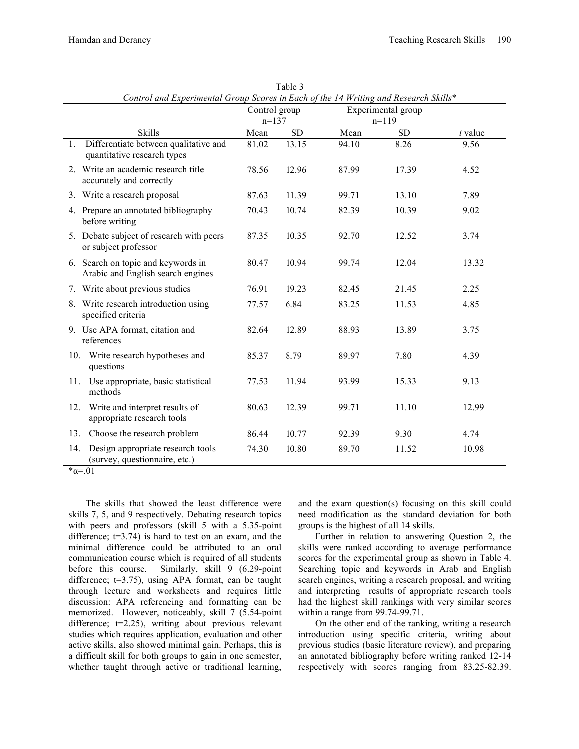|     |                                                                         |       | Control and Experimental Group Scores in Each of the 14 Writing and Research Skills<br>Experimental group<br>Control group<br>$n=137$<br>$n=119$ |       |           |           |
|-----|-------------------------------------------------------------------------|-------|--------------------------------------------------------------------------------------------------------------------------------------------------|-------|-----------|-----------|
|     | <b>Skills</b>                                                           | Mean  | <b>SD</b>                                                                                                                                        | Mean  | <b>SD</b> | $t$ value |
| 1.  | Differentiate between qualitative and<br>quantitative research types    | 81.02 | 13.15                                                                                                                                            | 94.10 | 8.26      | 9.56      |
|     | 2. Write an academic research title<br>accurately and correctly         | 78.56 | 12.96                                                                                                                                            | 87.99 | 17.39     | 4.52      |
|     | 3. Write a research proposal                                            | 87.63 | 11.39                                                                                                                                            | 99.71 | 13.10     | 7.89      |
|     | 4. Prepare an annotated bibliography<br>before writing                  | 70.43 | 10.74                                                                                                                                            | 82.39 | 10.39     | 9.02      |
|     | 5. Debate subject of research with peers<br>or subject professor        | 87.35 | 10.35                                                                                                                                            | 92.70 | 12.52     | 3.74      |
|     | 6. Search on topic and keywords in<br>Arabic and English search engines | 80.47 | 10.94                                                                                                                                            | 99.74 | 12.04     | 13.32     |
|     | 7. Write about previous studies                                         | 76.91 | 19.23                                                                                                                                            | 82.45 | 21.45     | 2.25      |
|     | 8. Write research introduction using<br>specified criteria              | 77.57 | 6.84                                                                                                                                             | 83.25 | 11.53     | 4.85      |
|     | 9. Use APA format, citation and<br>references                           | 82.64 | 12.89                                                                                                                                            | 88.93 | 13.89     | 3.75      |
| 10. | Write research hypotheses and<br>questions                              | 85.37 | 8.79                                                                                                                                             | 89.97 | 7.80      | 4.39      |
| 11. | Use appropriate, basic statistical<br>methods                           | 77.53 | 11.94                                                                                                                                            | 93.99 | 15.33     | 9.13      |
| 12. | Write and interpret results of<br>appropriate research tools            | 80.63 | 12.39                                                                                                                                            | 99.71 | 11.10     | 12.99     |
| 13. | Choose the research problem                                             | 86.44 | 10.77                                                                                                                                            | 92.39 | 9.30      | 4.74      |
| 14. | Design appropriate research tools<br>(survey, questionnaire, etc.)      | 74.30 | 10.80                                                                                                                                            | 89.70 | 11.52     | 10.98     |

Table  $3$ *Control and Experimental Group Scores in Each of the 14 Writing and Research Skills*\*

The skills that showed the least difference were skills 7, 5, and 9 respectively. Debating research topics with peers and professors (skill 5 with a 5.35-point difference;  $t=3.74$ ) is hard to test on an exam, and the minimal difference could be attributed to an oral communication course which is required of all students before this course. Similarly, skill 9 (6.29-point difference; t=3.75), using APA format, can be taught through lecture and worksheets and requires little discussion: APA referencing and formatting can be memorized. However, noticeably, skill 7 (5.54-point difference; t=2.25), writing about previous relevant studies which requires application, evaluation and other active skills, also showed minimal gain. Perhaps, this is a difficult skill for both groups to gain in one semester, whether taught through active or traditional learning,

and the exam question(s) focusing on this skill could need modification as the standard deviation for both groups is the highest of all 14 skills.

Further in relation to answering Question 2, the skills were ranked according to average performance scores for the experimental group as shown in Table 4. Searching topic and keywords in Arab and English search engines, writing a research proposal, and writing and interpreting results of appropriate research tools had the highest skill rankings with very similar scores within a range from 99.74-99.71.

On the other end of the ranking, writing a research introduction using specific criteria, writing about previous studies (basic literature review), and preparing an annotated bibliography before writing ranked 12-14 respectively with scores ranging from 83.25-82.39.

 $\overline{\mathscr{B}}\alpha = 0.01$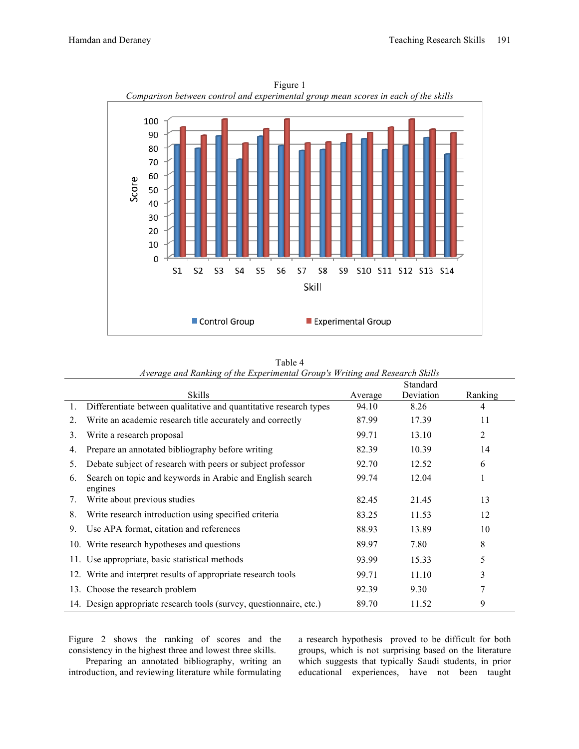

| Figure 1                                                               |
|------------------------------------------------------------------------|
| nparison between control and experimental group mean scores in each of |
|                                                                        |

| Average and Kanking of the Experimental Group's <i>irriting and Kesearch Skills</i> |                                                                      |         |           |         |
|-------------------------------------------------------------------------------------|----------------------------------------------------------------------|---------|-----------|---------|
|                                                                                     |                                                                      |         | Standard  |         |
|                                                                                     | <b>Skills</b>                                                        | Average | Deviation | Ranking |
| 1.                                                                                  | Differentiate between qualitative and quantitative research types    | 94.10   | 8.26      | 4       |
| 2.                                                                                  | Write an academic research title accurately and correctly            | 87.99   | 17.39     | 11      |
| 3.                                                                                  | Write a research proposal                                            | 99.71   | 13.10     | 2       |
| 4.                                                                                  | Prepare an annotated bibliography before writing                     | 82.39   | 10.39     | 14      |
| 5.                                                                                  | Debate subject of research with peers or subject professor           | 92.70   | 12.52     | 6       |
| 6.                                                                                  | Search on topic and keywords in Arabic and English search<br>engines | 99.74   | 12.04     |         |
| 7.                                                                                  | Write about previous studies                                         | 82.45   | 21.45     | 13      |
| 8.                                                                                  | Write research introduction using specified criteria                 | 83.25   | 11.53     | 12      |
| 9.                                                                                  | Use APA format, citation and references                              | 88.93   | 13.89     | 10      |
|                                                                                     | 10. Write research hypotheses and questions                          | 89.97   | 7.80      | 8       |
|                                                                                     | 11. Use appropriate, basic statistical methods                       | 93.99   | 15.33     | 5       |
|                                                                                     | 12. Write and interpret results of appropriate research tools        | 99.71   | 11.10     | 3       |
|                                                                                     | 13. Choose the research problem                                      | 92.39   | 9.30      | 7       |
|                                                                                     | 14. Design appropriate research tools (survey, questionnaire, etc.)  | 89.70   | 11.52     | 9       |

| Table 4                                                                     |  |
|-----------------------------------------------------------------------------|--|
| Average and Ranking of the Experimental Group's Writing and Research Skills |  |

Figure 2 shows the ranking of scores and the consistency in the highest three and lowest three skills.

Preparing an annotated bibliography, writing an introduction, and reviewing literature while formulating a research hypothesis proved to be difficult for both groups, which is not surprising based on the literature which suggests that typically Saudi students, in prior educational experiences, have not been taught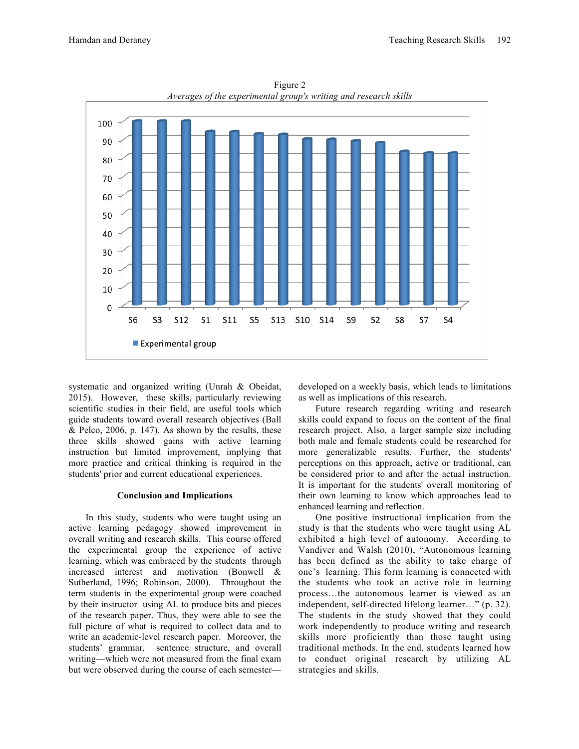

Figure 2 *Averages of the experimental group's writing and research skills*

systematic and organized writing (Unrah & Obeidat, 2015). However, these skills, particularly reviewing scientific studies in their field, are useful tools which guide students toward overall research objectives (Ball  $& Pelco, 2006, p. 147$ . As shown by the results, these three skills showed gains with active learning instruction but limited improvement, implying that more practice and critical thinking is required in the students' prior and current educational experiences.

#### **Conclusion and Implications**

In this study, students who were taught using an active learning pedagogy showed improvement in overall writing and research skills. This course offered the experimental group the experience of active learning, which was embraced by the students through increased interest and motivation (Bonwell & Sutherland, 1996; Robinson, 2000). Throughout the term students in the experimental group were coached by their instructor using AL to produce bits and pieces of the research paper. Thus, they were able to see the full picture of what is required to collect data and to write an academic-level research paper. Moreover, the students' grammar, sentence structure, and overall writing—which were not measured from the final exam but were observed during the course of each semester—

developed on a weekly basis, which leads to limitations as well as implications of this research.

Future research regarding writing and research skills could expand to focus on the content of the final research project. Also, a larger sample size including both male and female students could be researched for more generalizable results. Further, the students' perceptions on this approach, active or traditional, can be considered prior to and after the actual instruction. It is important for the students' overall monitoring of their own learning to know which approaches lead to enhanced learning and reflection.

One positive instructional implication from the study is that the students who were taught using AL exhibited a high level of autonomy. According to Vandiver and Walsh (2010), "Autonomous learning has been defined as the ability to take charge of one's learning. This form learning is connected with the students who took an active role in learning process…the autonomous learner is viewed as an independent, self-directed lifelong learner…" (p. 32). The students in the study showed that they could work independently to produce writing and research skills more proficiently than those taught using traditional methods. In the end, students learned how to conduct original research by utilizing AL strategies and skills.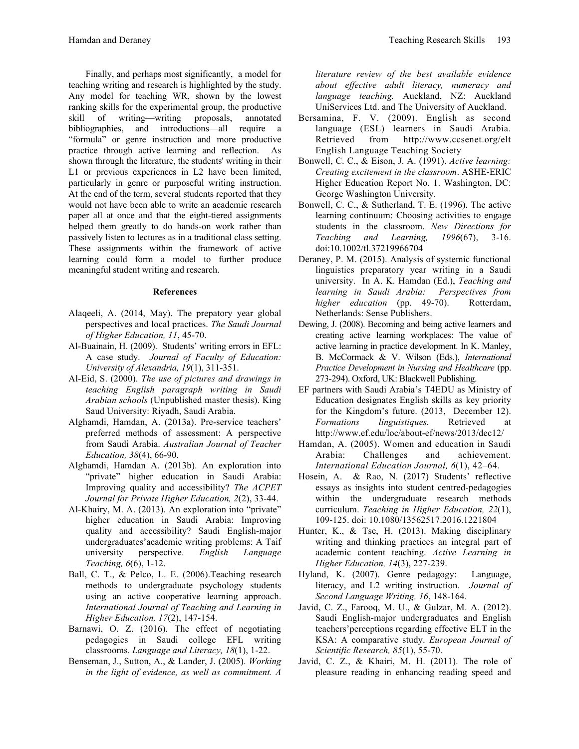Finally, and perhaps most significantly, a model for teaching writing and research is highlighted by the study. Any model for teaching WR, shown by the lowest ranking skills for the experimental group, the productive skill of writing—writing proposals, annotated bibliographies, and introductions—all require a "formula" or genre instruction and more productive practice through active learning and reflection. As shown through the literature, the students' writing in their L1 or previous experiences in L2 have been limited, particularly in genre or purposeful writing instruction. At the end of the term, several students reported that they would not have been able to write an academic research paper all at once and that the eight-tiered assignments helped them greatly to do hands-on work rather than passively listen to lectures as in a traditional class setting. These assignments within the framework of active learning could form a model to further produce meaningful student writing and research.

### **References**

- Alaqeeli, A. (2014, May). The prepatory year global perspectives and local practices. *The Saudi Journal of Higher Education, 11*, 45-70.
- Al-Buainain, H. (2009). Students' writing errors in EFL: A case study. *Journal of Faculty of Education: University of Alexandria, 19*(1), 311-351.
- Al-Eid, S. (2000). *The use of pictures and drawings in teaching English paragraph writing in Saudi Arabian schools* (Unpublished master thesis). King Saud University: Riyadh, Saudi Arabia.
- Alghamdi, Hamdan, A. (2013a). Pre-service teachers' preferred methods of assessment: A perspective from Saudi Arabia. *Australian Journal of Teacher Education, 38*(4), 66-90.
- Alghamdi, Hamdan A. (2013b). An exploration into "private" higher education in Saudi Arabia: Improving quality and accessibility? *The ACPET Journal for Private Higher Education, 2*(2), 33-44.
- Al-Khairy, M. A. (2013). An exploration into "private" higher education in Saudi Arabia: Improving quality and accessibility? Saudi English-major undergraduates'academic writing problems: A Taif university perspective. *English Language Teaching, 6*(6), 1-12.
- Ball, C. T., & Pelco, L. E. (2006).Teaching research methods to undergraduate psychology students using an active cooperative learning approach. *International Journal of Teaching and Learning in Higher Education, 17*(2), 147-154.
- Barnawi, O. Z. (2016). The effect of negotiating pedagogies in Saudi college EFL writing classrooms. *Language and Literacy, 18*(1), 1-22.
- Benseman, J., Sutton, A., & Lander, J. (2005). *Working in the light of evidence, as well as commitment. A*

*literature review of the best available evidence about effective adult literacy, numeracy and language teaching.* Auckland, NZ: Auckland UniServices Ltd. and The University of Auckland.

- Bersamina, F. V. (2009). English as second language (ESL) learners in Saudi Arabia. Retrieved from http://www.ccsenet.org/elt English Language Teaching Society
- Bonwell, C. C., & Eison, J. A. (1991). *Active learning: Creating excitement in the classroom*. ASHE-ERIC Higher Education Report No. 1. Washington, DC: George Washington University.
- Bonwell, C. C., & Sutherland, T. E. (1996). The active learning continuum: Choosing activities to engage students in the classroom. *New Directions for Teaching and Learning, 1996*(67), 3-16. doi:10.1002/tl.37219966704
- Deraney, P. M. (2015). Analysis of systemic functional linguistics preparatory year writing in a Saudi university. In A. K. Hamdan (Ed.), *Teaching and learning in Saudi Arabia: Perspectives from higher education* (pp. 49-70). Rotterdam, Netherlands: Sense Publishers.
- Dewing, J. (2008). Becoming and being active learners and creating active learning workplaces: The value of active learning in practice development. In K. Manley, B. McCormack & V. Wilson (Eds.), *International Practice Development in Nursing and Healthcare* (pp. 273-294). Oxford, UK: Blackwell Publishing.
- EF partners with Saudi Arabia's T4EDU as Ministry of Education designates English skills as key priority for the Kingdom's future. (2013, December 12). *Formations linguistiques.* Retrieved at http://www.ef.edu/loc/about-ef/news/2013/dec12/
- Hamdan, A. (2005). Women and education in Saudi Arabia: Challenges and achievement. *International Education Journal, 6*(1), 42–64.
- Hosein, A. & Rao, N. (2017) Students' reflective essays as insights into student centred-pedagogies within the undergraduate research methods curriculum. *Teaching in Higher Education, 22*(1), 109-125. doi: 10.1080/13562517.2016.1221804
- Hunter, K., & Tse, H. (2013). Making disciplinary writing and thinking practices an integral part of academic content teaching. *Active Learning in Higher Education, 14*(3), 227-239.
- Hyland, K. (2007). Genre pedagogy: Language, literacy, and L2 writing instruction. *Journal of Second Language Writing, 16*, 148-164.
- Javid, C. Z., Farooq, M. U., & Gulzar, M. A. (2012). Saudi English-major undergraduates and English teachers'perceptions regarding effective ELT in the KSA: A comparative study. *European Journal of Scientific Research, 85*(1), 55-70.
- Javid, C. Z., & Khairi, M. H. (2011). The role of pleasure reading in enhancing reading speed and